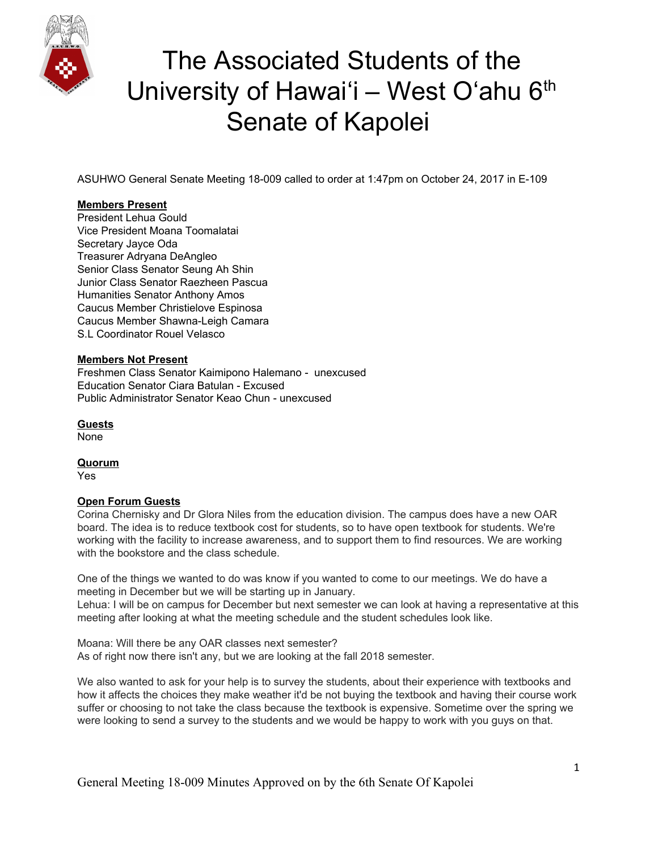

ASUHWO General Senate Meeting 18-009 called to order at 1:47pm on October 24, 2017 in E-109

#### **Members Present**

President Lehua Gould Vice President Moana Toomalatai Secretary Jayce Oda Treasurer Adryana DeAngleo Senior Class Senator Seung Ah Shin Junior Class Senator Raezheen Pascua Humanities Senator Anthony Amos Caucus Member Christielove Espinosa Caucus Member Shawna-Leigh Camara S.L Coordinator Rouel Velasco

#### **Members Not Present**

Freshmen Class Senator Kaimipono Halemano - unexcused Education Senator Ciara Batulan - Excused Public Administrator Senator Keao Chun - unexcused

**Guests** None

**Quorum**

Yes

#### **Open Forum Guests**

Corina Chernisky and Dr Glora Niles from the education division. The campus does have a new OAR board. The idea is to reduce textbook cost for students, so to have open textbook for students. We're working with the facility to increase awareness, and to support them to find resources. We are working with the bookstore and the class schedule.

One of the things we wanted to do was know if you wanted to come to our meetings. We do have a meeting in December but we will be starting up in January.

Lehua: I will be on campus for December but next semester we can look at having a representative at this meeting after looking at what the meeting schedule and the student schedules look like.

Moana: Will there be any OAR classes next semester? As of right now there isn't any, but we are looking at the fall 2018 semester.

We also wanted to ask for your help is to survey the students, about their experience with textbooks and how it affects the choices they make weather it'd be not buying the textbook and having their course work suffer or choosing to not take the class because the textbook is expensive. Sometime over the spring we were looking to send a survey to the students and we would be happy to work with you guys on that.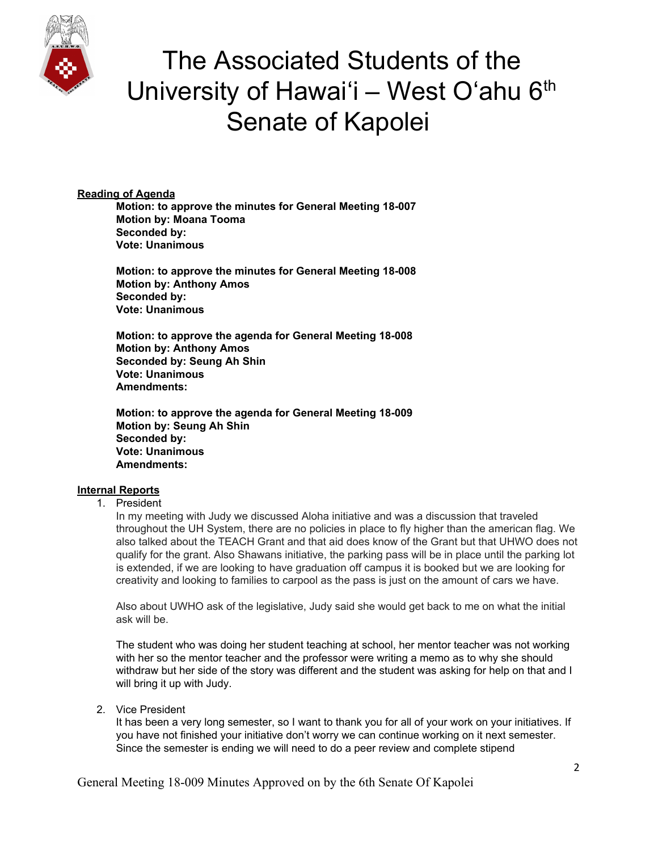

### **Reading of Agenda**

**Motion: to approve the minutes for General Meeting 18-007 Motion by: Moana Tooma Seconded by: Vote: Unanimous**

**Motion: to approve the minutes for General Meeting 18-008 Motion by: Anthony Amos Seconded by: Vote: Unanimous**

**Motion: to approve the agenda for General Meeting 18-008 Motion by: Anthony Amos Seconded by: Seung Ah Shin Vote: Unanimous Amendments:**

**Motion: to approve the agenda for General Meeting 18-009 Motion by: Seung Ah Shin Seconded by: Vote: Unanimous Amendments:**

### **Internal Reports**

#### 1. President

In my meeting with Judy we discussed Aloha initiative and was a discussion that traveled throughout the UH System, there are no policies in place to fly higher than the american flag. We also talked about the TEACH Grant and that aid does know of the Grant but that UHWO does not qualify for the grant. Also Shawans initiative, the parking pass will be in place until the parking lot is extended, if we are looking to have graduation off campus it is booked but we are looking for creativity and looking to families to carpool as the pass is just on the amount of cars we have.

Also about UWHO ask of the legislative, Judy said she would get back to me on what the initial ask will be.

The student who was doing her student teaching at school, her mentor teacher was not working with her so the mentor teacher and the professor were writing a memo as to why she should withdraw but her side of the story was different and the student was asking for help on that and I will bring it up with Judy.

2. Vice President

It has been a very long semester, so I want to thank you for all of your work on your initiatives. If you have not finished your initiative don't worry we can continue working on it next semester. Since the semester is ending we will need to do a peer review and complete stipend

General Meeting 18-009 Minutes Approved on by the 6th Senate Of Kapolei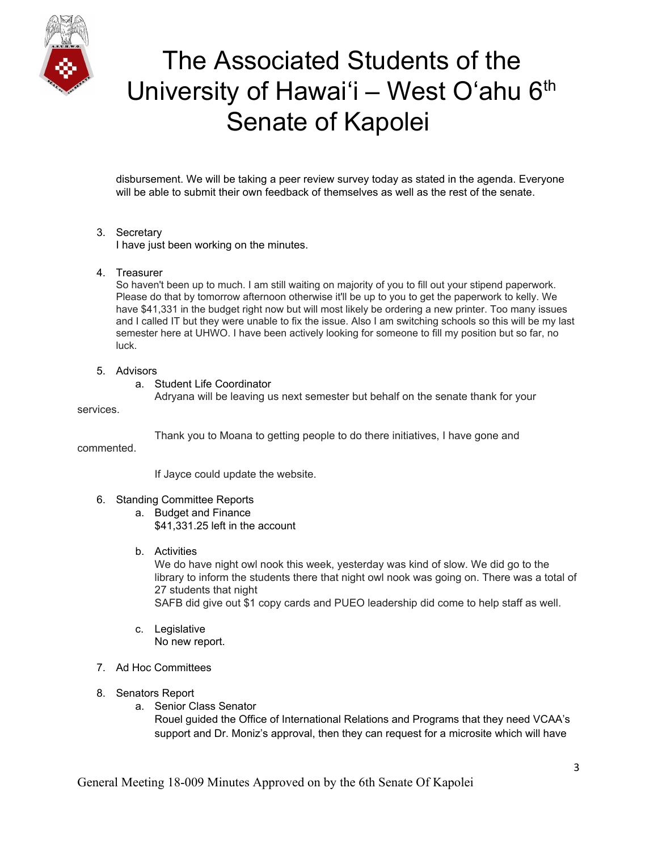

disbursement. We will be taking a peer review survey today as stated in the agenda. Everyone will be able to submit their own feedback of themselves as well as the rest of the senate.

### 3. Secretary

I have just been working on the minutes.

4. Treasurer

So haven't been up to much. I am still waiting on majority of you to fill out your stipend paperwork. Please do that by tomorrow afternoon otherwise it'll be up to you to get the paperwork to kelly. We have \$41,331 in the budget right now but will most likely be ordering a new printer. Too many issues and I called IT but they were unable to fix the issue. Also I am switching schools so this will be my last semester here at UHWO. I have been actively looking for someone to fill my position but so far, no luck.

- 5. Advisors
	- a. Student Life Coordinator

Adryana will be leaving us next semester but behalf on the senate thank for your

services.

Thank you to Moana to getting people to do there initiatives, I have gone and

commented.

If Jayce could update the website.

- 6. Standing Committee Reports
	- a. Budget and Finance
		- \$41,331.25 left in the account
	- b. Activities

We do have night owl nook this week, yesterday was kind of slow. We did go to the library to inform the students there that night owl nook was going on. There was a total of 27 students that night

SAFB did give out \$1 copy cards and PUEO leadership did come to help staff as well.

- c. Legislative No new report.
- 7. Ad Hoc Committees
- 8. Senators Report
	- a. Senior Class Senator

Rouel guided the Office of International Relations and Programs that they need VCAA's support and Dr. Moniz's approval, then they can request for a microsite which will have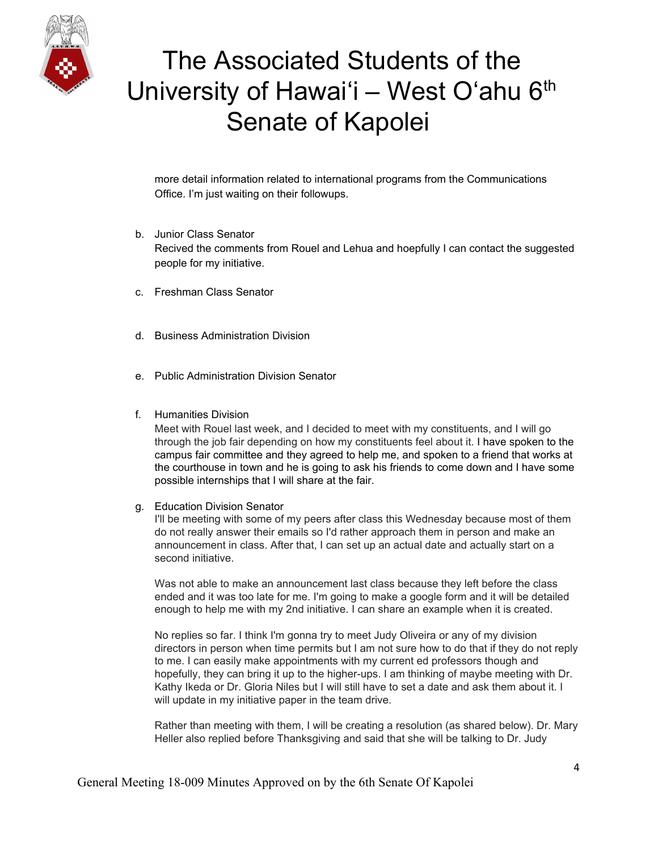

more detail information related to international programs from the Communications Office. I'm just waiting on their followups.

- b. Junior Class Senator Recived the comments from Rouel and Lehua and hoepfully I can contact the suggested people for my initiative.
- c. Freshman Class Senator
- d. Business Administration Division
- e. Public Administration Division Senator
- f. Humanities Division

Meet with Rouel last week, and I decided to meet with my constituents, and I will go through the job fair depending on how my constituents feel about it. I have spoken to the campus fair committee and they agreed to help me, and spoken to a friend that works at the courthouse in town and he is going to ask his friends to come down and I have some possible internships that I will share at the fair.

g. Education Division Senator

I'll be meeting with some of my peers after class this Wednesday because most of them do not really answer their emails so I'd rather approach them in person and make an announcement in class. After that, I can set up an actual date and actually start on a second initiative.

Was not able to make an announcement last class because they left before the class ended and it was too late for me. I'm going to make a google form and it will be detailed enough to help me with my 2nd initiative. I can share an example when it is created.

No replies so far. I think I'm gonna try to meet Judy Oliveira or any of my division directors in person when time permits but I am not sure how to do that if they do not reply to me. I can easily make appointments with my current ed professors though and hopefully, they can bring it up to the higher-ups. I am thinking of maybe meeting with Dr. Kathy Ikeda or Dr. Gloria Niles but I will still have to set a date and ask them about it. I will update in my initiative paper in the team drive.

Rather than meeting with them, I will be creating a resolution (as shared below). Dr. Mary Heller also replied before Thanksgiving and said that she will be talking to Dr. Judy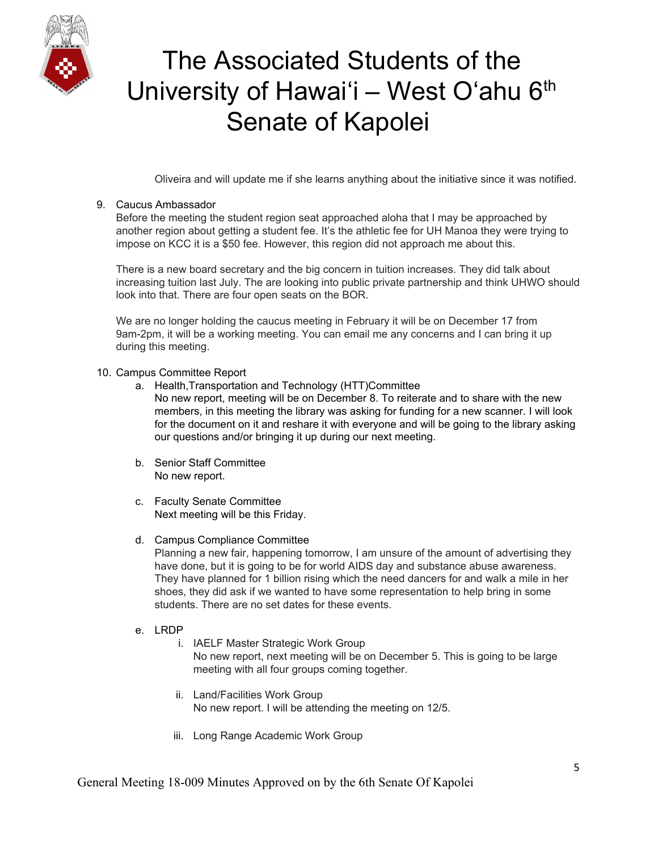

Oliveira and will update me if she learns anything about the initiative since it was notified.

### 9. Caucus Ambassador

Before the meeting the student region seat approached aloha that I may be approached by another region about getting a student fee. It's the athletic fee for UH Manoa they were trying to impose on KCC it is a \$50 fee. However, this region did not approach me about this.

There is a new board secretary and the big concern in tuition increases. They did talk about increasing tuition last July. The are looking into public private partnership and think UHWO should look into that. There are four open seats on the BOR.

We are no longer holding the caucus meeting in February it will be on December 17 from 9am-2pm, it will be a working meeting. You can email me any concerns and I can bring it up during this meeting.

- 10. Campus Committee Report
	- a. Health,Transportation and Technology (HTT)Committee No new report, meeting will be on December 8. To reiterate and to share with the new members, in this meeting the library was asking for funding for a new scanner. I will look for the document on it and reshare it with everyone and will be going to the library asking our questions and/or bringing it up during our next meeting.
	- b. Senior Staff Committee No new report.
	- c. Faculty Senate Committee Next meeting will be this Friday.
	- d. Campus Compliance Committee

Planning a new fair, happening tomorrow, I am unsure of the amount of advertising they have done, but it is going to be for world AIDS day and substance abuse awareness. They have planned for 1 billion rising which the need dancers for and walk a mile in her shoes, they did ask if we wanted to have some representation to help bring in some students. There are no set dates for these events.

- e. LRDP
	- i. IAELF Master Strategic Work Group No new report, next meeting will be on December 5. This is going to be large meeting with all four groups coming together.
	- ii. Land/Facilities Work Group No new report. I will be attending the meeting on 12/5.
	- iii. Long Range Academic Work Group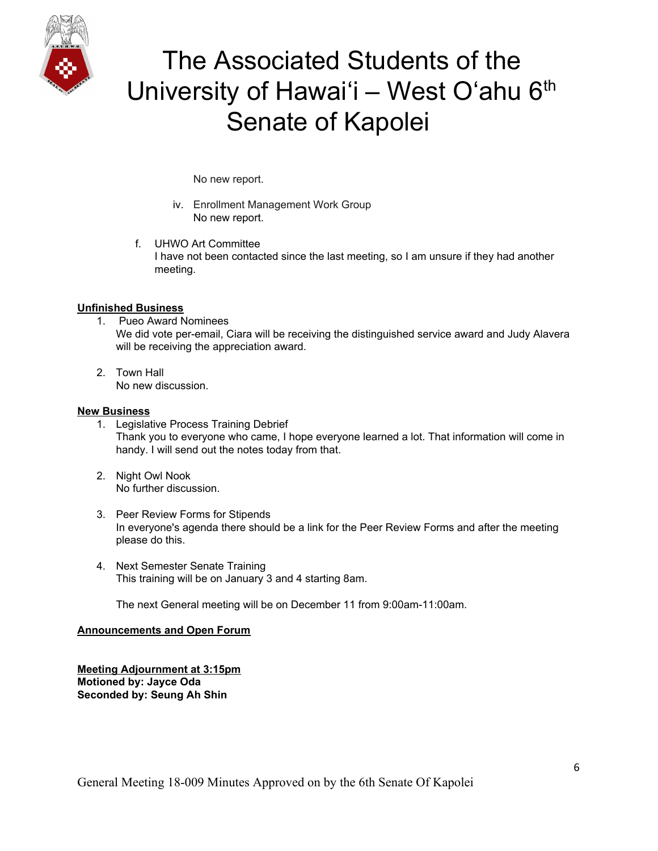

No new report.

- iv. Enrollment Management Work Group No new report.
- f. UHWO Art Committee I have not been contacted since the last meeting, so I am unsure if they had another meeting.

#### **Unfinished Business**

- 1. Pueo Award Nominees We did vote per-email, Ciara will be receiving the distinguished service award and Judy Alavera will be receiving the appreciation award.
- 2. Town Hall No new discussion.

#### **New Business**

- 1. Legislative Process Training Debrief Thank you to everyone who came, I hope everyone learned a lot. That information will come in handy. I will send out the notes today from that.
- 2. Night Owl Nook No further discussion.
- 3. Peer Review Forms for Stipends In everyone's agenda there should be a link for the Peer Review Forms and after the meeting please do this.
- 4. Next Semester Senate Training This training will be on January 3 and 4 starting 8am.

The next General meeting will be on December 11 from 9:00am-11:00am.

#### **Announcements and Open Forum**

**Meeting Adjournment at 3:15pm Motioned by: Jayce Oda Seconded by: Seung Ah Shin**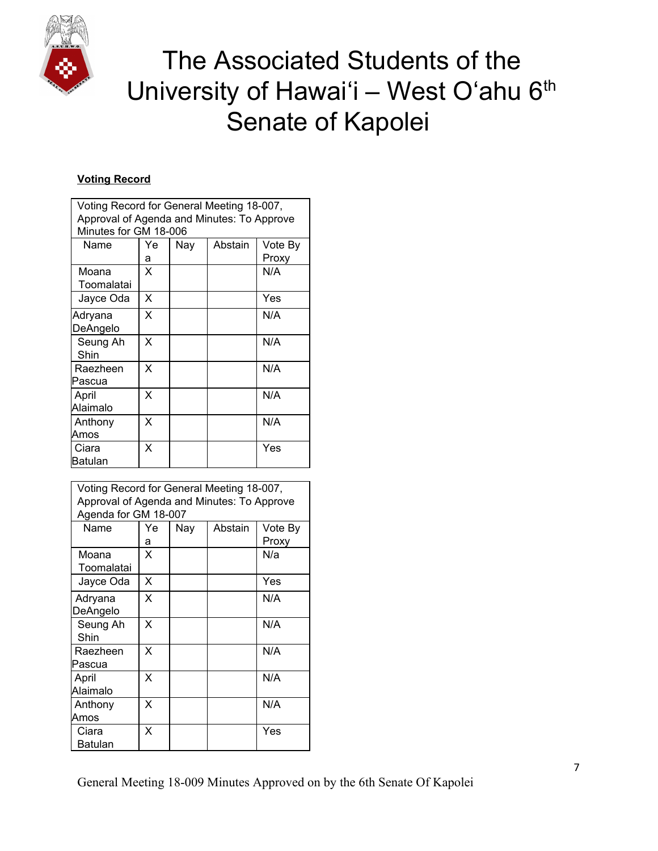

### **Voting Record**

| Voting Record for General Meeting 18-007,<br>Approval of Agenda and Minutes: To Approve<br>Minutes for GM 18-006 |         |     |         |                  |  |  |
|------------------------------------------------------------------------------------------------------------------|---------|-----|---------|------------------|--|--|
| Name                                                                                                             | Ye<br>а | Nay | Abstain | Vote By<br>Proxy |  |  |
| Moana<br>Toomalatai                                                                                              | х       |     |         | N/A              |  |  |
| Jayce Oda                                                                                                        | X       |     |         | Yes              |  |  |
| Adryana<br>DeAngelo                                                                                              | x       |     |         | N/A              |  |  |
| Seung Ah<br>Shin                                                                                                 | x       |     |         | N/A              |  |  |
| Raezheen<br>Pascua                                                                                               | X       |     |         | N/A              |  |  |
| April<br>Alaimalo                                                                                                | x       |     |         | N/A              |  |  |
| Anthony<br>Amos                                                                                                  | X       |     |         | N/A              |  |  |
| Ciara<br>Batulan                                                                                                 | X       |     |         | Yes              |  |  |

| Voting Record for General Meeting 18-007,<br>Approval of Agenda and Minutes: To Approve<br>Agenda for GM 18-007 |         |     |         |                  |  |  |
|-----------------------------------------------------------------------------------------------------------------|---------|-----|---------|------------------|--|--|
| Name                                                                                                            | Ye<br>а | Nav | Abstain | Vote By<br>Proxy |  |  |
| Moana<br>Toomalatai                                                                                             | X       |     |         | N/a              |  |  |
| Jayce Oda                                                                                                       | X       |     |         | Yes              |  |  |
| Adryana<br>DeAngelo                                                                                             | X       |     |         | N/A              |  |  |
| Seung Ah<br>Shin                                                                                                | X       |     |         | N/A              |  |  |
| Raezheen<br>Pascua                                                                                              | X       |     |         | N/A              |  |  |
| April<br>Alaimalo                                                                                               | X       |     |         | N/A              |  |  |
| Anthony<br>Amos                                                                                                 | X       |     |         | N/A              |  |  |
| Ciara<br>Batulan                                                                                                | X       |     |         | Yes              |  |  |